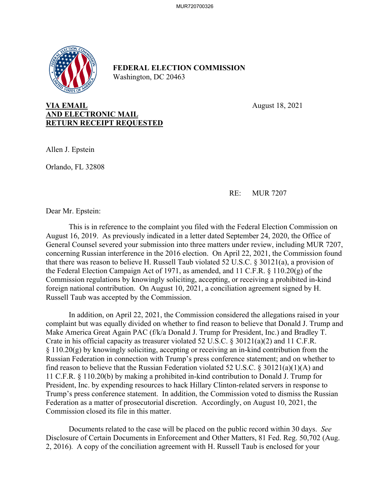

## **FEDERAL ELECTION COMMISSION** Washington, DC 20463

## **VIA EMAIL** August 18, 2021 **AND ELECTRONIC MAIL RETURN RECEIPT REQUESTED**

Allen J. Epstein

Orlando, FL 32808

RE: MUR 7207

Dear Mr. Epstein:

This is in reference to the complaint you filed with the Federal Election Commission on August 16, 2019. As previously indicated in a letter dated September 24, 2020, the Office of General Counsel severed your submission into three matters under review, including MUR 7207, concerning Russian interference in the 2016 election. On April 22, 2021, the Commission found that there was reason to believe H. Russell Taub violated 52 U.S.C. § 30121(a), a provision of the Federal Election Campaign Act of 1971, as amended, and 11 C.F.R. § 110.20(g) of the Commission regulations by knowingly soliciting, accepting, or receiving a prohibited in-kind foreign national contribution. On August 10, 2021, a conciliation agreement signed by H. Russell Taub was accepted by the Commission.

 In addition, on April 22, 2021, the Commission considered the allegations raised in your complaint but was equally divided on whether to find reason to believe that Donald J. Trump and Make America Great Again PAC (f/k/a Donald J. Trump for President, Inc.) and Bradley T. Crate in his official capacity as treasurer violated 52 U.S.C. § 30121(a)(2) and 11 C.F.R. § 110.20(g) by knowingly soliciting, accepting or receiving an in-kind contribution from the Russian Federation in connection with Trump's press conference statement; and on whether to find reason to believe that the Russian Federation violated 52 U.S.C. § 30121(a)(1)(A) and 11 C.F.R. § 110.20(b) by making a prohibited in-kind contribution to Donald J. Trump for President, Inc. by expending resources to hack Hillary Clinton-related servers in response to Trump's press conference statement. In addition, the Commission voted to dismiss the Russian Federation as a matter of prosecutorial discretion. Accordingly, on August 10, 2021, the Commission closed its file in this matter.

Documents related to the case will be placed on the public record within 30 days. *See*  Disclosure of Certain Documents in Enforcement and Other Matters, 81 Fed. Reg. 50,702 (Aug. 2, 2016). A copy of the conciliation agreement with H. Russell Taub is enclosed for your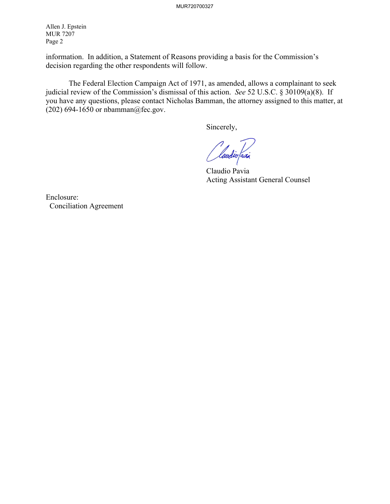Allen J. Epstein MUR 7207 Page 2

information. In addition, a Statement of Reasons providing a basis for the Commission's decision regarding the other respondents will follow.

The Federal Election Campaign Act of 1971, as amended, allows a complainant to seek judicial review of the Commission's dismissal of this action. *See* 52 U.S.C. § 30109(a)(8). If you have any questions, please contact Nicholas Bamman, the attorney assigned to this matter, at (202) 694-1650 or nbamman@fec.gov.

Sincerely,

laudio faxi

 Claudio Pavia Acting Assistant General Counsel

Enclosure: Conciliation Agreement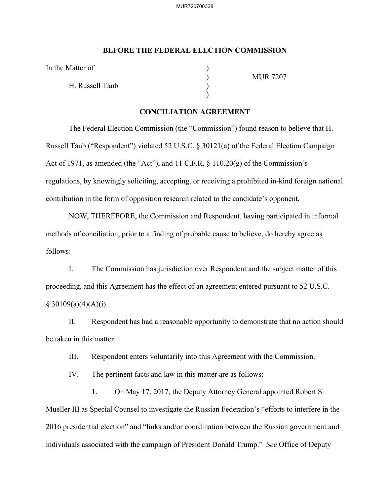## **BEFORE THE FEDERAL ELECTION COMMISSION**

In the Matter of

H. Russell Taub )

 $)$ 

) MUR 7207

## **CONCILIATION AGREEMENT**

The Federal Election Commission (the "Commission") found reason to believe that H. Russell Taub ("Respondent") violated 52 U.S.C. § 30121(a) of the Federal Election Campaign Act of 1971, as amended (the "Act"), and 11 C.F.R. § 110.20(g) of the Commission's regulations, by knowingly soliciting, accepting, or receiving a prohibited in-kind foreign national contribution in the form of opposition research related to the candidate's opponent.

NOW, THEREFORE, the Commission and Respondent, having participated in informal methods of conciliation, prior to a finding of probable cause to believe, do hereby agree as follows:

I. The Commission has jurisdiction over Respondent and the subject matter of this proceeding, and this Agreement has the effect of an agreement entered pursuant to 52 U.S.C.  $§ 30109(a)(4)(A)(i).$ 

II. Respondent has had a reasonable opportunity to demonstrate that no action should be taken in this matter.

III. Respondent enters voluntarily into this Agreement with the Commission.

IV. The pertinent facts and law in this matter are as follows:

1. On May 17, 2017, the Deputy Attorney General appointed Robert S. Mueller III as Special Counsel to investigate the Russian Federation's "efforts to interfere in the 2016 presidential election" and "links and/or coordination between the Russian government and individuals associated with the campaign of President Donald Trump." *See* Office of Deputy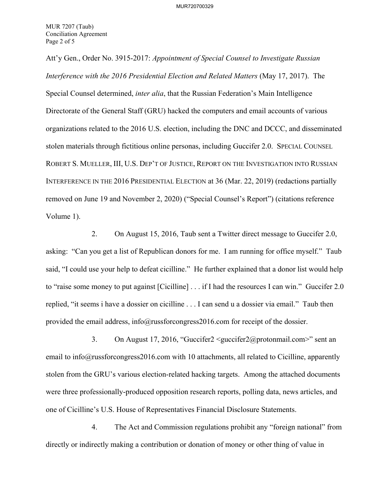Att'y Gen., Order No. 3915-2017: *Appointment of Special Counsel to Investigate Russian Interference with the 2016 Presidential Election and Related Matters* (May 17, 2017). The Special Counsel determined, *inter alia*, that the Russian Federation's Main Intelligence Directorate of the General Staff (GRU) hacked the computers and email accounts of various organizations related to the 2016 U.S. election, including the DNC and DCCC, and disseminated stolen materials through fictitious online personas, including Guccifer 2.0. SPECIAL COUNSEL ROBERT S. MUELLER, III, U.S. DEP'T OF JUSTICE, REPORT ON THE INVESTIGATION INTO RUSSIAN INTERFERENCE IN THE 2016 PRESIDENTIAL ELECTION at 36 (Mar. 22, 2019) (redactions partially removed on June 19 and November 2, 2020) ("Special Counsel's Report") (citations reference Volume 1).

2. On August 15, 2016, Taub sent a Twitter direct message to Guccifer 2.0, asking: "Can you get a list of Republican donors for me. I am running for office myself." Taub said, "I could use your help to defeat cicilline." He further explained that a donor list would help to "raise some money to put against [Cicilline] . . . if I had the resources I can win." Guccifer 2.0 replied, "it seems i have a dossier on cicilline . . . I can send u a dossier via email." Taub then provided the email address, info@russforcongress2016.com for receipt of the dossier.

3. On August 17, 2016, "Guccifer2 <guccifer2@protonmail.com>" sent an email to info@russforcongress2016.com with 10 attachments, all related to Cicilline, apparently stolen from the GRU's various election-related hacking targets. Among the attached documents were three professionally-produced opposition research reports, polling data, news articles, and one of Cicilline's U.S. House of Representatives Financial Disclosure Statements.

4. The Act and Commission regulations prohibit any "foreign national" from directly or indirectly making a contribution or donation of money or other thing of value in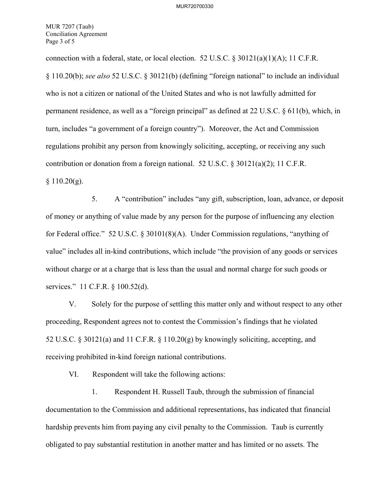MUR 7207 (Taub) Conciliation Agreement Page 3 of 5

connection with a federal, state, or local election. 52 U.S.C.  $\frac{830121(a)(1)(A)}{1}$ ; 11 C.F.R. § 110.20(b); *see also* 52 U.S.C. § 30121(b) (defining "foreign national" to include an individual who is not a citizen or national of the United States and who is not lawfully admitted for permanent residence, as well as a "foreign principal" as defined at 22 U.S.C. § 611(b), which, in turn, includes "a government of a foreign country"). Moreover, the Act and Commission regulations prohibit any person from knowingly soliciting, accepting, or receiving any such contribution or donation from a foreign national. 52 U.S.C. § 30121(a)(2); 11 C.F.R.  $§ 110.20(g).$ 

5. A "contribution" includes "any gift, subscription, loan, advance, or deposit of money or anything of value made by any person for the purpose of influencing any election for Federal office." 52 U.S.C. § 30101(8)(A). Under Commission regulations, "anything of value" includes all in-kind contributions, which include "the provision of any goods or services without charge or at a charge that is less than the usual and normal charge for such goods or services." 11 C.F.R. § 100.52(d).

V. Solely for the purpose of settling this matter only and without respect to any other proceeding, Respondent agrees not to contest the Commission's findings that he violated 52 U.S.C. § 30121(a) and 11 C.F.R. § 110.20(g) by knowingly soliciting, accepting, and receiving prohibited in-kind foreign national contributions.

VI. Respondent will take the following actions:

1. Respondent H. Russell Taub, through the submission of financial documentation to the Commission and additional representations, has indicated that financial hardship prevents him from paying any civil penalty to the Commission. Taub is currently obligated to pay substantial restitution in another matter and has limited or no assets. The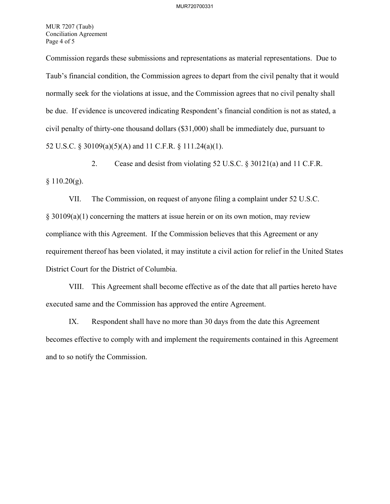MUR 7207 (Taub) Conciliation Agreement Page 4 of 5

Commission regards these submissions and representations as material representations. Due to Taub's financial condition, the Commission agrees to depart from the civil penalty that it would normally seek for the violations at issue, and the Commission agrees that no civil penalty shall be due. If evidence is uncovered indicating Respondent's financial condition is not as stated, a civil penalty of thirty-one thousand dollars (\$31,000) shall be immediately due, pursuant to 52 U.S.C. § 30109(a)(5)(A) and 11 C.F.R. § 111.24(a)(1).

2. Cease and desist from violating 52 U.S.C. § 30121(a) and 11 C.F.R.  $§ 110.20(g).$ 

VII. The Commission, on request of anyone filing a complaint under 52 U.S.C. § 30109(a)(1) concerning the matters at issue herein or on its own motion, may review compliance with this Agreement. If the Commission believes that this Agreement or any requirement thereof has been violated, it may institute a civil action for relief in the United States District Court for the District of Columbia.

VIII. This Agreement shall become effective as of the date that all parties hereto have executed same and the Commission has approved the entire Agreement.

IX. Respondent shall have no more than 30 days from the date this Agreement becomes effective to comply with and implement the requirements contained in this Agreement and to so notify the Commission.